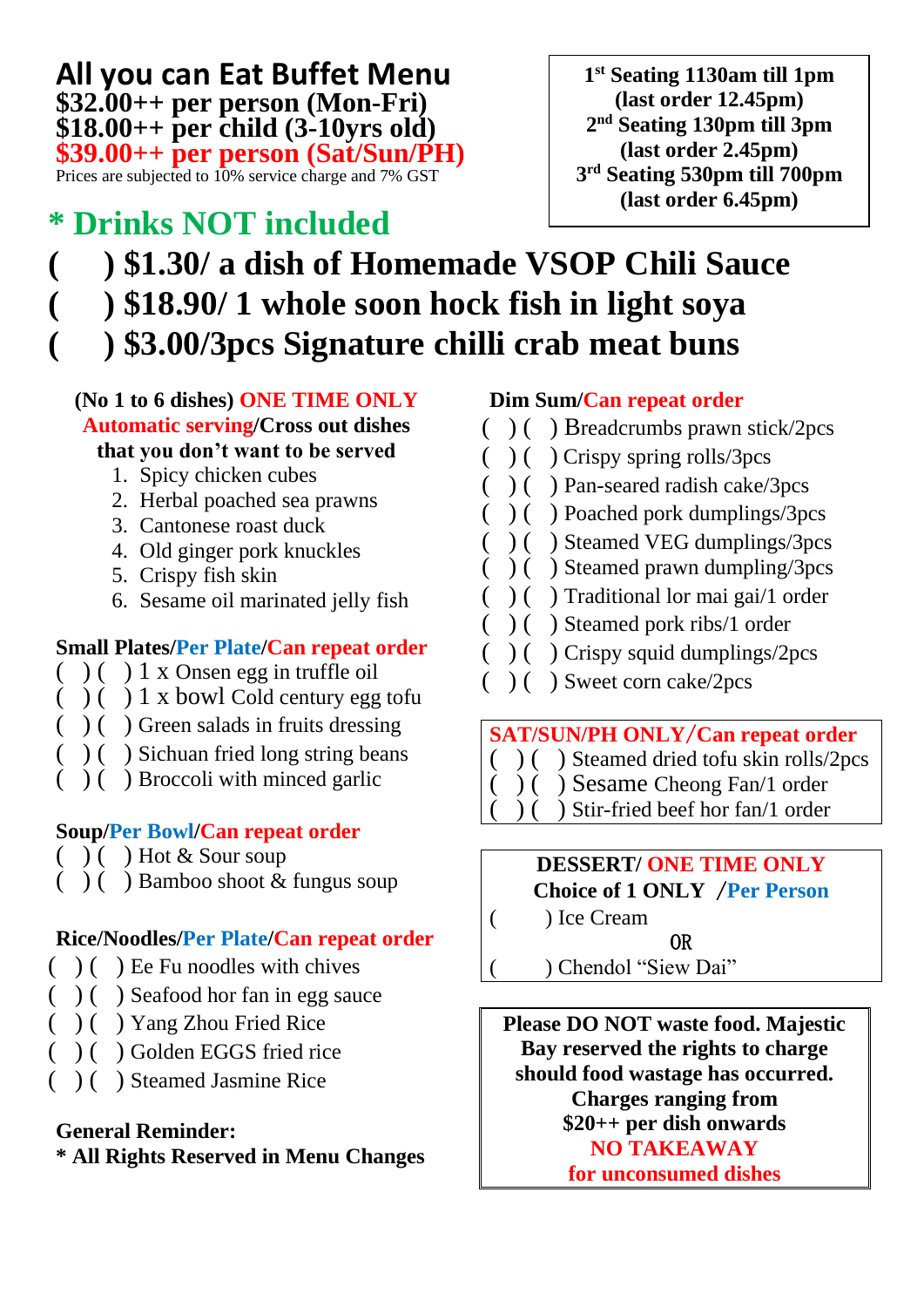#### **All you can Eat Buffet Menu \$32.00++ per person (Mon-Fri) \$18.00++ per child (3-10yrs old) \$39.00++ per person (Sat/Sun/PH)** Prices are subjected to 10% service charge and 7% GST

## **\* Drinks NOT included**

**1 st Seating 1130am till 1pm (last order 12.45pm) 2 nd Seating 130pm till 3pm (last order 2.45pm) 3 rd Seating 530pm till 700pm (last order 6.45pm)**

# **( ) \$1.30/ a dish of Homemade VSOP Chili Sauce ( ) \$18.90/ 1 whole soon hock fish in light soya**

**( ) \$3.00/3pcs Signature chilli crab meat buns** 

#### **(No 1 to 6 dishes) ONE TIME ONLY Automatic serving/Cross out dishes that you don't want to be served**

- 1. Spicy chicken cubes
- 2. Herbal poached sea prawns
- 3. Cantonese roast duck
- 4. Old ginger pork knuckles
- 5. Crispy fish skin
- 6. Sesame oil marinated jelly fish

### **Small Plates/Per Plate/Can repeat order**

- ( ) ( ) 1 x Onsen egg in truffle oil
- $( )$  ( ) 1 x bowl Cold century egg tofu
- $( )$  ( ) Green salads in fruits dressing
- ( ) ( ) Sichuan fried long string beans
- ( ) ( ) Broccoli with minced garlic

#### **Soup/Per Bowl/Can repeat order**

- ( ) ( ) Hot & Sour soup
- ( ) ( ) Bamboo shoot & fungus soup

#### **Rice/Noodles/Per Plate/Can repeat order**

- ( ) ( ) Ee Fu noodles with chives
- $( )$  ( ) Seafood hor fan in egg sauce
- ( ) ( ) Yang Zhou Fried Rice
- ( ) ( ) Golden EGGS fried rice
- ( ) ( ) Steamed Jasmine Rice

#### **General Reminder:**

**\* All Rights Reserved in Menu Changes**

#### **Dim Sum/Can repeat order**

- ( ) ( ) Breadcrumbs prawn stick/2pcs
- ( ) ( ) Crispy spring rolls/3pcs
- ( ) ( ) Pan-seared radish cake/3pcs
- ( ) ( ) Poached pork dumplings/3pcs
- ( ) ( ) Steamed VEG dumplings/3pcs
- $( )$  ( ) Steamed prawn dumpling/3pcs
- ( ) ( ) Traditional lor mai gai/1 order
- ( ) ( ) Steamed pork ribs/1 order
- $( )$  ( ) Crispy squid dumplings/2pcs
	- ( ) ( ) Sweet corn cake/2pcs

#### **SAT/SUN/PH ONLY**/**Can repeat order**

- ( ) ( ) Steamed dried tofu skin rolls/2pcs
- ( ) ( ) Sesame Cheong Fan/1 order
	- ) Stir-fried beef hor fan/1 order

#### **DESSERT/ ONE TIME ONLY Choice of 1 ONLY** /**Per Person**

( ) Ice Cream

OR

( ) Chendol "Siew Dai"

**Please DO NOT waste food. Majestic Bay reserved the rights to charge should food wastage has occurred. Charges ranging from \$20++ per dish onwards NO TAKEAWAY for unconsumed dishes**